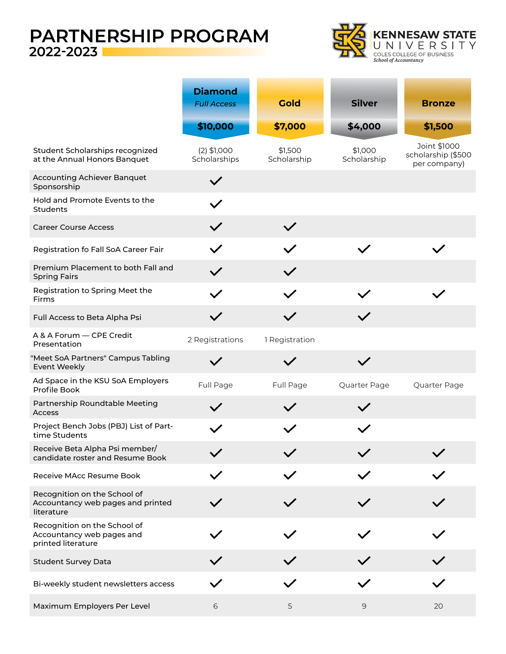# **PARTNERSHIP PROGRAM 2022-2023**



|                                                                                 | <b>Diamond</b><br><b>Full Access</b> | <b>Gold</b>            | <b>Silver</b>          | <b>Bronze</b>                                      |
|---------------------------------------------------------------------------------|--------------------------------------|------------------------|------------------------|----------------------------------------------------|
|                                                                                 | \$10,000                             | \$7,000                | \$4,000                | \$1,500                                            |
| Student Scholarships recognized<br>at the Annual Honors Banquet                 | $(2)$ \$1,000<br>Scholarships        | \$1,500<br>Scholarship | \$1,000<br>Scholarship | Joint \$1000<br>scholarship (\$500<br>per company) |
| Accounting Achiever Banquet<br>Sponsorship                                      |                                      |                        |                        |                                                    |
| Hold and Promote Events to the<br><b>Students</b>                               |                                      |                        |                        |                                                    |
| <b>Career Course Access</b>                                                     |                                      |                        |                        |                                                    |
| Registration fo Fall SoA Career Fair                                            | $\checkmark$                         | $\checkmark$           | $\checkmark$           |                                                    |
| Premium Placement to both Fall and<br><b>Spring Fairs</b>                       |                                      | $\checkmark$           |                        |                                                    |
| Registration to Spring Meet the<br>Firms                                        |                                      | $\checkmark$           |                        |                                                    |
| Full Access to Beta Alpha Psi                                                   | $\checkmark$                         | $\checkmark$           | $\checkmark$           |                                                    |
| A & A Forum - CPE Credit<br>Presentation                                        | 2 Registrations                      | 1 Registration         |                        |                                                    |
| "Meet SoA Partners" Campus Tabling<br><b>Event Weekly</b>                       |                                      |                        | $\checkmark$           |                                                    |
| Ad Space in the KSU SoA Employers<br>Profile Book                               | Full Page                            | Full Page              | Quarter Page           | Quarter Page                                       |
| Partnership Roundtable Meeting<br>Access                                        |                                      |                        | $\checkmark$           |                                                    |
| Project Bench Jobs (PBJ) List of Part-<br>time Students                         |                                      |                        |                        |                                                    |
| Receive Beta Alpha Psi member/<br>candidate roster and Resume Book              |                                      |                        |                        |                                                    |
| Receive MAcc Resume Book                                                        |                                      |                        |                        |                                                    |
| Recognition on the School of<br>Accountancy web pages and printed<br>literature |                                      |                        |                        |                                                    |
| Recognition on the School of<br>Accountancy web pages and<br>printed literature |                                      |                        |                        |                                                    |
| <b>Student Survey Data</b>                                                      |                                      |                        |                        |                                                    |
| Bi-weekly student newsletters access                                            |                                      |                        |                        |                                                    |
| Maximum Employers Per Level                                                     | 6                                    | 5                      | $\overline{9}$         | 20                                                 |